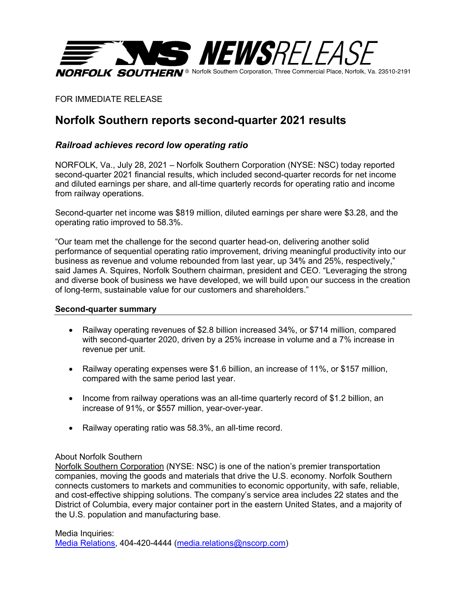

FOR IMMEDIATE RELEASE

# **Norfolk Southern reports second-quarter 2021 results**

## *Railroad achieves record low operating ratio*

NORFOLK, Va., July 28, 2021 – Norfolk Southern Corporation (NYSE: NSC) today reported second-quarter 2021 financial results, which included second-quarter records for net income and diluted earnings per share, and all-time quarterly records for operating ratio and income from railway operations.

Second-quarter net income was \$819 million, diluted earnings per share were \$3.28, and the operating ratio improved to 58.3%.

"Our team met the challenge for the second quarter head-on, delivering another solid performance of sequential operating ratio improvement, driving meaningful productivity into our business as revenue and volume rebounded from last year, up 34% and 25%, respectively," said James A. Squires, Norfolk Southern chairman, president and CEO. "Leveraging the strong and diverse book of business we have developed, we will build upon our success in the creation of long-term, sustainable value for our customers and shareholders."

#### **Second-quarter summary**

- Railway operating revenues of \$2.8 billion increased 34%, or \$714 million, compared with second-quarter 2020, driven by a 25% increase in volume and a 7% increase in revenue per unit.
- Railway operating expenses were \$1.6 billion, an increase of 11%, or \$157 million, compared with the same period last year.
- Income from railway operations was an all-time quarterly record of \$1.2 billion, an increase of 91%, or \$557 million, year-over-year.
- Railway operating ratio was 58.3%, an all-time record.

### About Norfolk Southern

Norfolk Southern Corporation (NYSE: NSC) is one of the nation's premier transportation companies, moving the goods and materials that drive the U.S. economy. Norfolk Southern connects customers to markets and communities to economic opportunity, with safe, reliable, and cost-effective shipping solutions. The company's service area includes 22 states and the District of Columbia, every major container port in the eastern United States, and a majority of the U.S. population and manufacturing base.

Media Inquiries: Media Relations, 404-420-4444 (media.relations@nscorp.com)